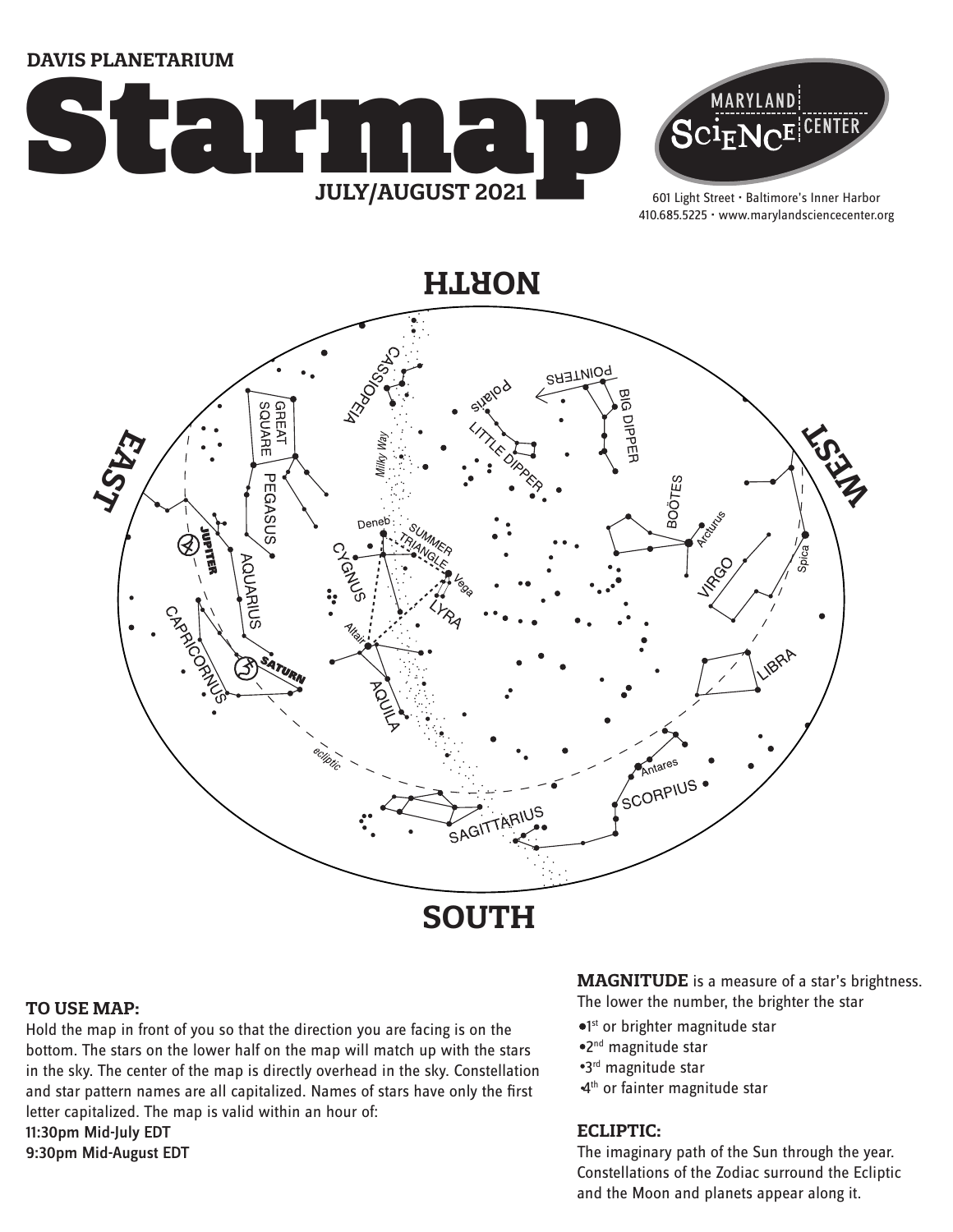**DAVIS PLANETARIUM**





601 Light Street • Baltimore's Inner Harbor 410.685.5225 • www.marylandsciencecenter.org

**NORTH**



#### **TO USE MAP:**

Hold the map in front of you so that the direction you are facing is on the bottom. The stars on the lower half on the map will match up with the stars in the sky. The center of the map is directly overhead in the sky. Constellation and star pattern names are all capitalized. Names of stars have only the first letter capitalized. The map is valid within an hour of: 11:30pm Mid-July EDT 9:30pm Mid-August EDT

**MAGNITUDE** is a measure of a star's brightness.

The lower the number, the brighter the star

- <sup>o1st</sup> or brighter magnitude star
- 2nd magnitude star
- 3rd magnitude star
- 4<sup>th</sup> or fainter magnitude star

### **ECLIPTIC:**

The imaginary path of the Sun through the year. Constellations of the Zodiac surround the Ecliptic and the Moon and planets appear along it.